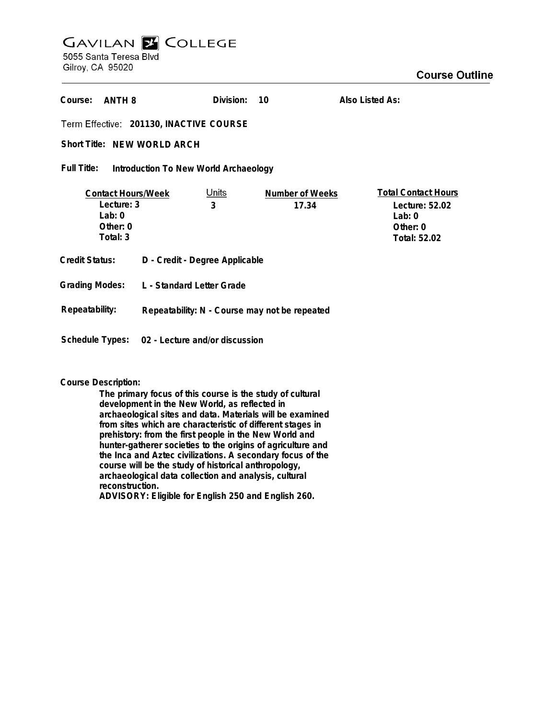# **GAVILAN E COLLEGE** 5055 Santa Teresa Blvd

Gilroy, CA 95020

| Course:<br>ANTH 8                                                                  |                                               | Division:    | 10                       | Also Listed As:                                                                               |  |
|------------------------------------------------------------------------------------|-----------------------------------------------|--------------|--------------------------|-----------------------------------------------------------------------------------------------|--|
| Term Effective: 201130, INACTIVE COURSE                                            |                                               |              |                          |                                                                                               |  |
| Short Title: NEW WORLD ARCH                                                        |                                               |              |                          |                                                                                               |  |
| Full Title:<br>Introduction To New World Archaeology                               |                                               |              |                          |                                                                                               |  |
| <b>Contact Hours/Week</b><br>Lecture: 3<br>3<br>Lab: $0$<br>Other: $0$<br>Total: 3 |                                               | <u>Units</u> | Number of Weeks<br>17.34 | <b>Total Contact Hours</b><br>Lecture: 52.02<br>Lab: $0$<br>Other: $0$<br><b>Total: 52.02</b> |  |
| <b>Credit Status:</b>                                                              | D - Credit - Degree Applicable                |              |                          |                                                                                               |  |
| <b>Grading Modes:</b>                                                              | L - Standard Letter Grade                     |              |                          |                                                                                               |  |
| Repeatability:                                                                     | Repeatability: N - Course may not be repeated |              |                          |                                                                                               |  |
| Schedule Types:                                                                    | 02 - Lecture and/or discussion                |              |                          |                                                                                               |  |

# **Course Description:**

**The primary focus of this course is the study of cultural development in the New World, as reflected in archaeological sites and data. Materials will be examined from sites which are characteristic of different stages in prehistory: from the first people in the New World and hunter-gatherer societies to the origins of agriculture and the Inca and Aztec civilizations. A secondary focus of the course will be the study of historical anthropology, archaeological data collection and analysis, cultural reconstruction. ADVISORY: Eligible for English 250 and English 260.**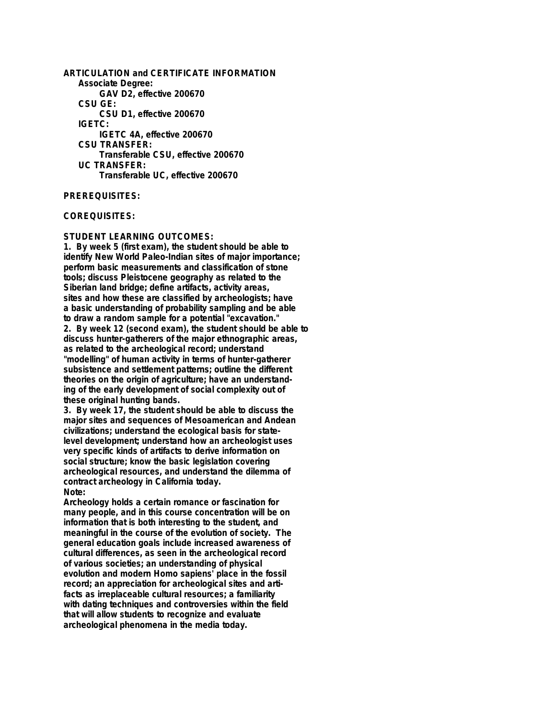**ARTICULATION and CERTIFICATE INFORMATION Associate Degree: GAV D2, effective 200670 CSU GE: CSU D1, effective 200670 IGETC: IGETC 4A, effective 200670 CSU TRANSFER: Transferable CSU, effective 200670 UC TRANSFER: Transferable UC, effective 200670**

## **PREREQUISITES:**

#### **COREQUISITES:**

### **STUDENT LEARNING OUTCOMES:**

**1. By week 5 (first exam), the student should be able to identify New World Paleo-Indian sites of major importance; perform basic measurements and classification of stone tools; discuss Pleistocene geography as related to the Siberian land bridge; define artifacts, activity areas, sites and how these are classified by archeologists; have a basic understanding of probability sampling and be able to draw a random sample for a potential "excavation." 2. By week 12 (second exam), the student should be able to discuss hunter-gatherers of the major ethnographic areas, as related to the archeological record; understand "modelling" of human activity in terms of hunter-gatherer subsistence and settlement patterns; outline the different theories on the origin of agriculture; have an understanding of the early development of social complexity out of these original hunting bands.**

**3. By week 17, the student should be able to discuss the major sites and sequences of Mesoamerican and Andean civilizations; understand the ecological basis for statelevel development; understand how an archeologist uses very specific kinds of artifacts to derive information on social structure; know the basic legislation covering archeological resources, and understand the dilemma of contract archeology in California today. Note:**

**Archeology holds a certain romance or fascination for many people, and in this course concentration will be on information that is both interesting to the student, and meaningful in the course of the evolution of society. The general education goals include increased awareness of cultural differences, as seen in the archeological record of various societies; an understanding of physical evolution and modern Homo sapiens' place in the fossil record; an appreciation for archeological sites and artifacts as irreplaceable cultural resources; a familiarity with dating techniques and controversies within the field that will allow students to recognize and evaluate archeological phenomena in the media today.**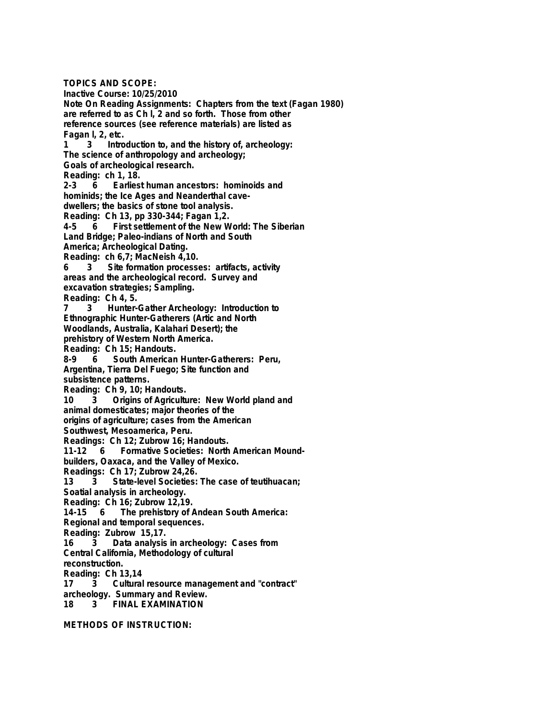**TOPICS AND SCOPE: Inactive Course: 10/25/2010 Note On Reading Assignments: Chapters from the text (Fagan 1980) are referred to as Ch l, 2 and so forth. Those from other reference sources (see reference materials) are listed as Fagan l, 2, etc. 1 3 Introduction to, and the history of, archeology: The science of anthropology and archeology; Goals of archeological research. Reading: ch 1, 18. 2-3 6 Earliest human ancestors: hominoids and hominids; the Ice Ages and Neanderthal cavedwellers; the basics of stone tool analysis. Reading: Ch 13, pp 330-344; Fagan 1,2. 4-5 6 First settlement of the New World: The Siberian Land Bridge; Paleo-indians of North and South America; Archeological Dating. Reading: ch 6,7; MacNeish 4,10. 6 3 Site formation processes: artifacts, activity areas and the archeological record. Survey and excavation strategies; Sampling. Reading: Ch 4, 5. 7 3 Hunter-Gather Archeology: Introduction to Ethnographic Hunter-Gatherers (Artic and North Woodlands, Australia, Kalahari Desert); the prehistory of Western North America. Reading: Ch 15; Handouts. 8-9 6 South American Hunter-Gatherers: Peru, Argentina, Tierra Del Fuego; Site function and subsistence patterns. Reading: Ch 9, 10; Handouts. 10 3 Origins of Agriculture: New World pland and animal domesticates; major theories of the origins of agriculture; cases from the American Southwest, Mesoamerica, Peru. Readings: Ch 12; Zubrow 16; Handouts. 1411 11 11 6 Formative Societies: North American Moundbuilders, Oaxaca, and the Valley of Mexico. Readings: Ch 17; Zubrow 24,26. 13 3 State-level Societies: The case of teutihuacan; Soatial analysis in archeology. Reading: Ch 16; Zubrow 12,19. 14-15 6 The prehistory of Andean South America: Regional and temporal sequences. Reading: Zubrow 15,17. 16 3 Data analysis in archeology: Cases from Central California, Methodology of cultural reconstruction. Reading: Ch 13,14 17 3 Cultural resource management and "contract" archeology. Summary and Review. 18 3 FINAL EXAMINATION**

**METHODS OF INSTRUCTION:**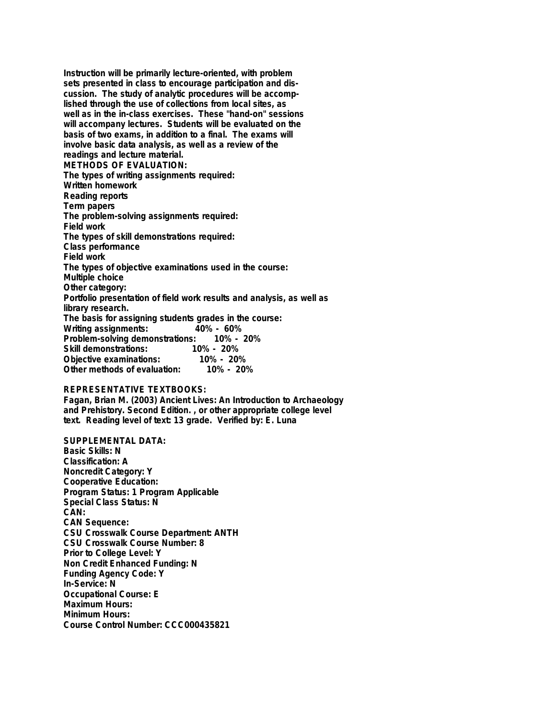**Instruction will be primarily lecture-oriented, with problem sets presented in class to encourage participation and discussion. The study of analytic procedures will be accomplished through the use of collections from local sites, as well as in the in-class exercises. These "hand-on" sessions will accompany lectures. Students will be evaluated on the basis of two exams, in addition to a final. The exams will involve basic data analysis, as well as a review of the readings and lecture material. METHODS OF EVALUATION: The types of writing assignments required: Written homework Reading reports Term papers The problem-solving assignments required: Field work The types of skill demonstrations required: Class performance Field work The types of objective examinations used in the course: Multiple choice Other category: Portfolio presentation of field work results and analysis, as well as library research. The basis for assigning students grades in the course: Writing assignments: Problem-solving demonstrations: 10% - 20% Skill demonstrations: 10% - 20% Objective examinations: 10% - 20% Other methods of evaluation:** 

## **REPRESENTATIVE TEXTBOOKS:**

**Fagan, Brian M. (2003) Ancient Lives: An Introduction to Archaeology and Prehistory. Second Edition. , or other appropriate college level text. Reading level of text: 13 grade. Verified by: E. Luna**

**SUPPLEMENTAL DATA: Basic Skills: N Classification: A Noncredit Category: Y Cooperative Education: Program Status: 1 Program Applicable Special Class Status: N CAN: CAN Sequence: CSU Crosswalk Course Department: ANTH CSU Crosswalk Course Number: 8 Prior to College Level: Y Non Credit Enhanced Funding: N Funding Agency Code: Y In-Service: N Occupational Course: E Maximum Hours: Minimum Hours: Course Control Number: CCC000435821**